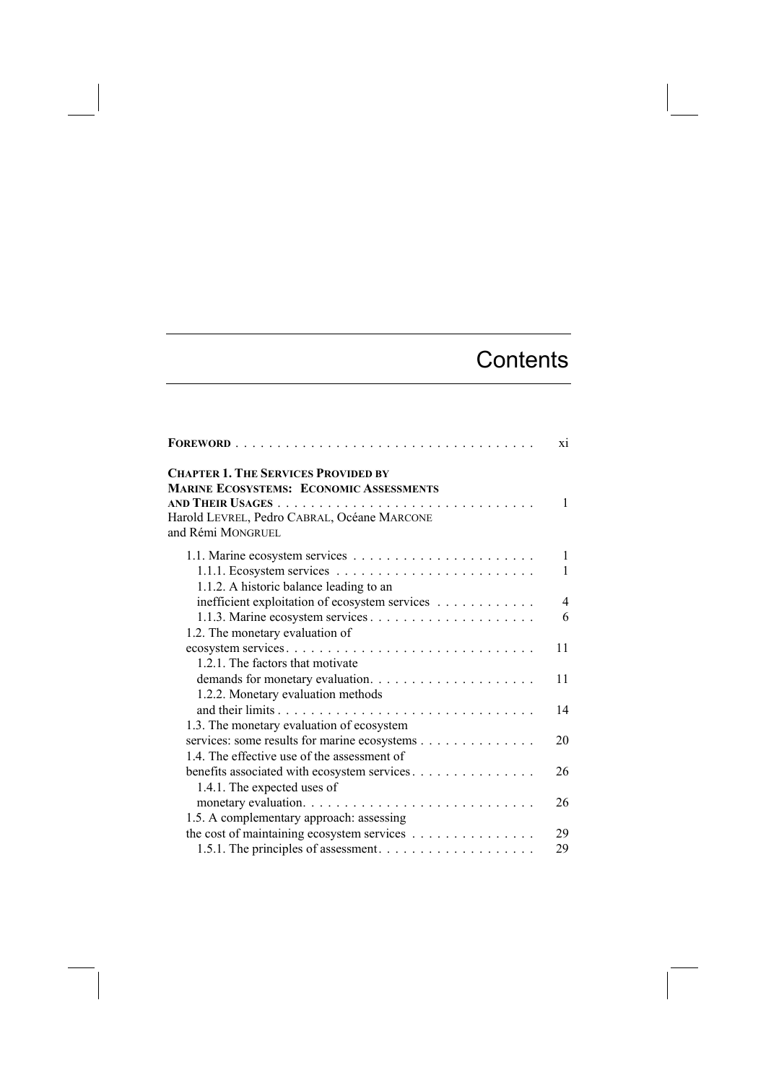## **Contents**

|                                                                                              | xi             |
|----------------------------------------------------------------------------------------------|----------------|
| <b>CHAPTER 1. THE SERVICES PROVIDED BY</b><br><b>MARINE ECOSYSTEMS: ECONOMIC ASSESSMENTS</b> | 1              |
| Harold LEVREL, Pedro CABRAL, Océane MARCONE<br>and Rémi MONGRUEL                             |                |
|                                                                                              | $\mathbf{1}$   |
| 1.1.1. Ecosystem services $\ldots \ldots \ldots \ldots \ldots \ldots \ldots \ldots$          | 1              |
| 1.1.2. A historic balance leading to an                                                      |                |
| inefficient exploitation of ecosystem services                                               | $\overline{4}$ |
|                                                                                              | 6              |
| 1.2. The monetary evaluation of                                                              |                |
| ecosystem services                                                                           | 11             |
| 1.2.1. The factors that motivate                                                             |                |
|                                                                                              | 11             |
| 1.2.2. Monetary evaluation methods                                                           |                |
|                                                                                              | 14             |
| 1.3. The monetary evaluation of ecosystem                                                    |                |
| services: some results for marine ecosystems                                                 | 20             |
| 1.4. The effective use of the assessment of                                                  |                |
| benefits associated with ecosystem services.                                                 | 26             |
| 1.4.1. The expected uses of                                                                  |                |
|                                                                                              | 26             |
| 1.5. A complementary approach: assessing                                                     |                |
| the cost of maintaining ecosystem services                                                   | 29             |
|                                                                                              | 29             |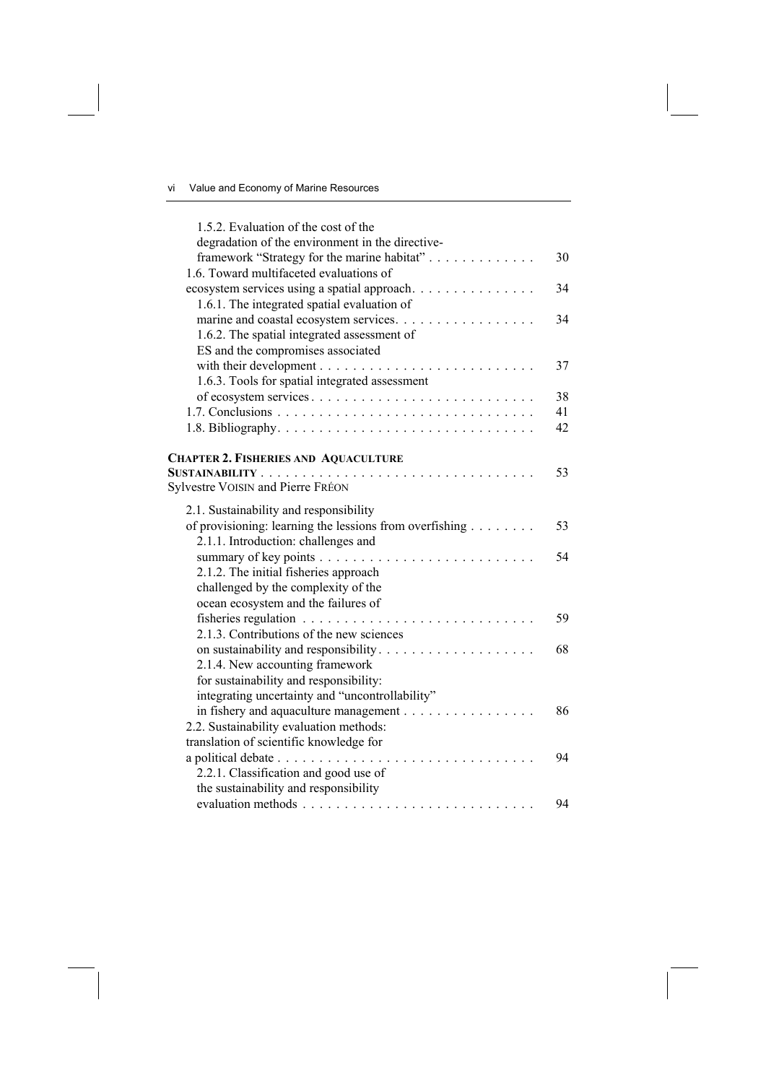| 1.5.2. Evaluation of the cost of the                    |    |
|---------------------------------------------------------|----|
| degradation of the environment in the directive-        |    |
| framework "Strategy for the marine habitat"             | 30 |
| 1.6. Toward multifaceted evaluations of                 |    |
| ecosystem services using a spatial approach.            | 34 |
| 1.6.1. The integrated spatial evaluation of             |    |
| marine and coastal ecosystem services.                  | 34 |
| 1.6.2. The spatial integrated assessment of             |    |
| ES and the compromises associated                       |    |
|                                                         | 37 |
| 1.6.3. Tools for spatial integrated assessment          |    |
| of ecosystem services                                   | 38 |
|                                                         | 41 |
|                                                         | 42 |
|                                                         |    |
| <b>CHAPTER 2. FISHERIES AND AQUACULTURE</b>             |    |
|                                                         | 53 |
| Sylvestre VOISIN and Pierre FRÉON                       |    |
| 2.1. Sustainability and responsibility                  |    |
| of provisioning: learning the lessions from overfishing | 53 |
| 2.1.1. Introduction: challenges and                     |    |
|                                                         | 54 |
| 2.1.2. The initial fisheries approach                   |    |
| challenged by the complexity of the                     |    |
| ocean ecosystem and the failures of                     |    |
|                                                         | 59 |
| 2.1.3. Contributions of the new sciences                |    |
| on sustainability and responsibility                    | 68 |
| 2.1.4. New accounting framework                         |    |
| for sustainability and responsibility:                  |    |
| integrating uncertainty and "uncontrollability"         |    |
| in fishery and aquaculture management                   | 86 |
| 2.2. Sustainability evaluation methods:                 |    |
| translation of scientific knowledge for                 |    |
|                                                         | 94 |
| 2.2.1. Classification and good use of                   |    |
| the sustainability and responsibility                   |    |
|                                                         | 94 |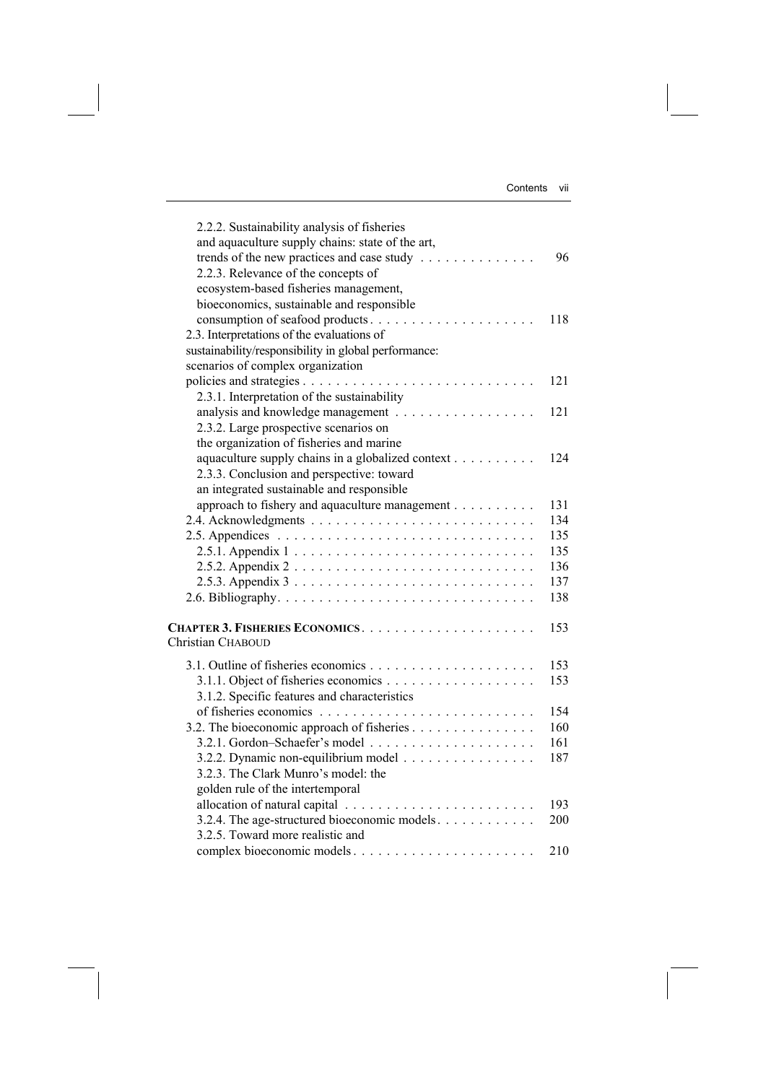| Contents |     |
|----------|-----|
|          | νıι |
|          |     |
|          |     |

| 2.2.2. Sustainability analysis of fisheries<br>and aquaculture supply chains: state of the art,<br>trends of the new practices and case study<br>2.2.3. Relevance of the concepts of<br>ecosystem-based fisheries management, | 96  |
|-------------------------------------------------------------------------------------------------------------------------------------------------------------------------------------------------------------------------------|-----|
| bioeconomics, sustainable and responsible<br>consumption of seafood products                                                                                                                                                  | 118 |
| 2.3. Interpretations of the evaluations of<br>sustainability/responsibility in global performance:<br>scenarios of complex organization                                                                                       |     |
|                                                                                                                                                                                                                               | 121 |
| 2.3.1. Interpretation of the sustainability                                                                                                                                                                                   |     |
|                                                                                                                                                                                                                               | 121 |
| 2.3.2. Large prospective scenarios on<br>the organization of fisheries and marine                                                                                                                                             |     |
| aquaculture supply chains in a globalized context                                                                                                                                                                             | 124 |
| 2.3.3. Conclusion and perspective: toward                                                                                                                                                                                     |     |
| an integrated sustainable and responsible                                                                                                                                                                                     |     |
| approach to fishery and aquaculture management                                                                                                                                                                                | 131 |
|                                                                                                                                                                                                                               | 134 |
|                                                                                                                                                                                                                               | 135 |
|                                                                                                                                                                                                                               | 135 |
|                                                                                                                                                                                                                               | 136 |
| 2.5.3. Appendix $3 \ldots \ldots \ldots \ldots \ldots \ldots \ldots \ldots \ldots$                                                                                                                                            | 137 |
|                                                                                                                                                                                                                               | 138 |
| Christian CHABOUD                                                                                                                                                                                                             | 153 |
|                                                                                                                                                                                                                               | 153 |
|                                                                                                                                                                                                                               | 153 |
| 3.1.2. Specific features and characteristics                                                                                                                                                                                  |     |
|                                                                                                                                                                                                                               | 154 |
| 3.2. The bioeconomic approach of fisheries                                                                                                                                                                                    | 160 |
|                                                                                                                                                                                                                               | 161 |
| 3.2.2. Dynamic non-equilibrium model                                                                                                                                                                                          | 187 |
| 3.2.3. The Clark Munro's model: the                                                                                                                                                                                           |     |
| golden rule of the intertemporal                                                                                                                                                                                              |     |
|                                                                                                                                                                                                                               | 193 |
| 3.2.4. The age-structured bioeconomic models.                                                                                                                                                                                 | 200 |
| 3.2.5. Toward more realistic and                                                                                                                                                                                              |     |
| complex bioeconomic models                                                                                                                                                                                                    | 210 |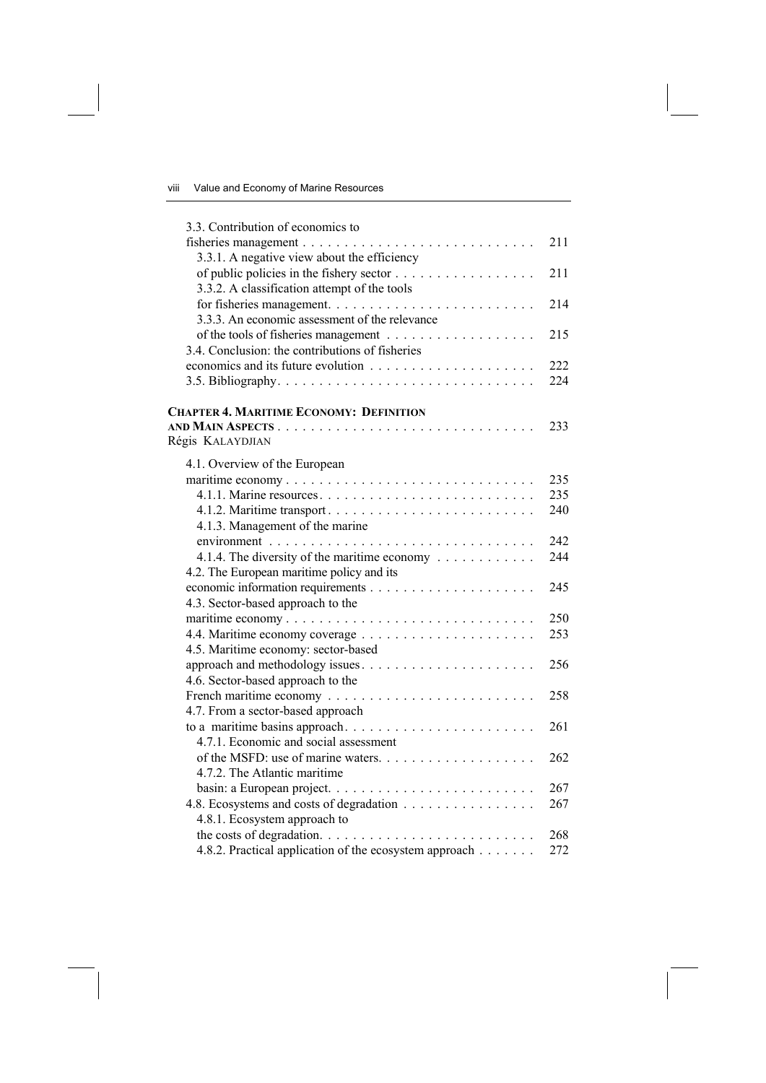| 3.3. Contribution of economics to                                                 |     |
|-----------------------------------------------------------------------------------|-----|
|                                                                                   | 211 |
| 3.3.1. A negative view about the efficiency                                       |     |
|                                                                                   | 211 |
| 3.3.2. A classification attempt of the tools                                      |     |
|                                                                                   | 214 |
| 3.3.3. An economic assessment of the relevance                                    |     |
|                                                                                   | 215 |
| 3.4. Conclusion: the contributions of fisheries                                   |     |
|                                                                                   | 222 |
|                                                                                   | 224 |
| <b>CHAPTER 4. MARITIME ECONOMY: DEFINITION</b>                                    |     |
|                                                                                   | 233 |
| Régis KALAYDJIAN                                                                  |     |
| 4.1. Overview of the European                                                     |     |
| maritime economy                                                                  | 235 |
|                                                                                   | 235 |
| 4.1.2. Maritime transport                                                         | 240 |
| 4.1.3. Management of the marine                                                   |     |
|                                                                                   | 242 |
| 4.1.4. The diversity of the maritime economy                                      | 244 |
| 4.2. The European maritime policy and its                                         |     |
|                                                                                   | 245 |
| 4.3. Sector-based approach to the                                                 |     |
| maritime economy                                                                  | 250 |
|                                                                                   | 253 |
| 4.5. Maritime economy: sector-based                                               |     |
| approach and methodology issues                                                   | 256 |
| 4.6. Sector-based approach to the                                                 |     |
|                                                                                   | 258 |
| 4.7. From a sector-based approach                                                 |     |
| to a maritime basins approach                                                     | 261 |
| 4.7.1. Economic and social assessment                                             |     |
|                                                                                   | 262 |
| 4.7.2. The Atlantic maritime                                                      |     |
|                                                                                   | 267 |
| 4.8. Ecosystems and costs of degradation                                          | 267 |
| 4.8.1. Ecosystem approach to                                                      |     |
| the costs of degradation. $\dots \dots \dots \dots \dots \dots \dots \dots \dots$ | 268 |
| 4.8.2. Practical application of the ecosystem approach                            | 272 |